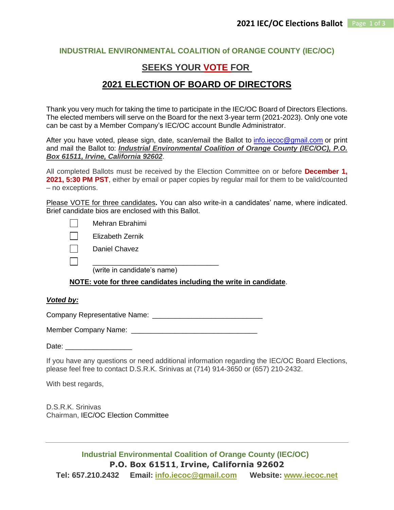### **INDUSTRIAL ENVIRONMENTAL COALITION of ORANGE COUNTY (IEC/OC)**

## **SEEKS YOUR VOTE FOR**

## **2021 ELECTION OF BOARD OF DIRECTORS**

Thank you very much for taking the time to participate in the IEC/OC Board of Directors Elections. The elected members will serve on the Board for the next 3-year term (2021-2023). Only one vote can be cast by a Member Company's IEC/OC account Bundle Administrator.

After you have voted, please sign, date, scan/email the Ballot to [info.iecoc@gmail.com](mailto:info.iecoc@gmail.com) or print and mail the Ballot to: *Industrial Environmental Coalition of Orange County (IEC/OC), P.O. Box 61511, Irvine, California 92602*.

All completed Ballots must be received by the Election Committee on or before **December 1, 2021, 5:30 PM PST**, either by email or paper copies by regular mail for them to be valid/counted – no exceptions.

Please VOTE for three candidates**.** You can also write-in a candidates' name, where indicated. Brief candidate bios are enclosed with this Ballot.

Mehran Ebrahimi

    Elizabeth Zernik

Daniel Chavez

 $\frac{1}{2}$  ,  $\frac{1}{2}$  ,  $\frac{1}{2}$  ,  $\frac{1}{2}$  ,  $\frac{1}{2}$  ,  $\frac{1}{2}$  ,  $\frac{1}{2}$  ,  $\frac{1}{2}$  ,  $\frac{1}{2}$  ,  $\frac{1}{2}$  ,  $\frac{1}{2}$  ,  $\frac{1}{2}$  ,  $\frac{1}{2}$  ,  $\frac{1}{2}$  ,  $\frac{1}{2}$  ,  $\frac{1}{2}$  ,  $\frac{1}{2}$  ,  $\frac{1}{2}$  ,  $\frac{1$ (write in candidate's name)

**NOTE: vote for three candidates including the write in candidate**.

#### *Voted by:*

Company Representative Name:  \_\_\_\_\_\_\_\_\_\_\_\_\_\_\_\_\_\_\_\_\_\_\_\_\_\_\_\_

Member Company Name:  $\blacksquare$ 

Date:

If you have any questions or need additional information regarding the IEC/OC Board Elections, please feel free to contact D.S.R.K. Srinivas at (714) 914-3650 or (657) 210-2432.

With best regards,

D.S.R.K. Srinivas Chairman, IEC/OC Election Committee

**Industrial Environmental Coalition of Orange County (IEC/OC) P.O. Box 61511, Irvine, California 92602 Tel: 657.210.2432 Email: [info.iecoc@gmail.com](mailto:info.iecoc@gmail.com) Website: [www.iecoc.net](http://iecoc.wildapricot.org/)**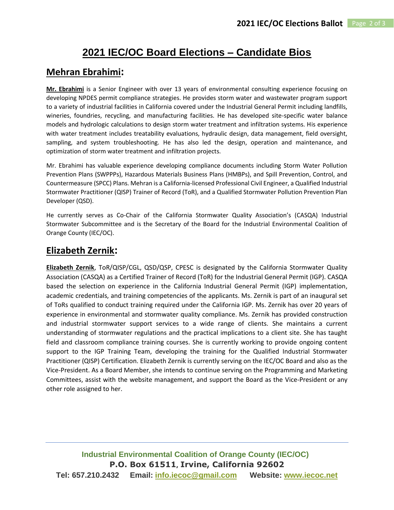# **2021 IEC/OC Board Elections – Candidate Bios**

## **Mehran Ebrahimi:**

**Mr. Ebrahimi** is a Senior Engineer with over 13 years of environmental consulting experience focusing on developing NPDES permit compliance strategies. He provides storm water and wastewater program support to a variety of industrial facilities in California covered under the Industrial General Permit including landfills, wineries, foundries, recycling, and manufacturing facilities. He has developed site-specific water balance models and hydrologic calculations to design storm water treatment and infiltration systems. His experience with water treatment includes treatability evaluations, hydraulic design, data management, field oversight, sampling, and system troubleshooting. He has also led the design, operation and maintenance, and optimization of storm water treatment and infiltration projects.

Mr. Ebrahimi has valuable experience developing compliance documents including Storm Water Pollution Prevention Plans (SWPPPs), Hazardous Materials Business Plans (HMBPs), and Spill Prevention, Control, and Countermeasure (SPCC) Plans. Mehran is a California-licensed Professional Civil Engineer, a Qualified Industrial Stormwater Practitioner (QISP) Trainer of Record (ToR), and a Qualified Stormwater Pollution Prevention Plan Developer (QSD).

He currently serves as Co-Chair of the California Stormwater Quality Association's (CASQA) Industrial Stormwater Subcommittee and is the Secretary of the Board for the Industrial Environmental Coalition of Orange County (IEC/OC).

## **Elizabeth Zernik:**

**Elizabeth Zernik**, ToR/QISP/CGL, QSD/QSP, CPESC is designated by the California Stormwater Quality Association (CASQA) as a Certified Trainer of Record (ToR) for the Industrial General Permit (IGP). CASQA based the selection on experience in the California Industrial General Permit (IGP) implementation, academic credentials, and training competencies of the applicants. Ms. Zernik is part of an inaugural set of ToRs qualified to conduct training required under the California IGP. Ms. Zernik has over 20 years of experience in environmental and stormwater quality compliance. Ms. Zernik has provided construction and industrial stormwater support services to a wide range of clients. She maintains a current understanding of stormwater regulations and the practical implications to a client site. She has taught field and classroom compliance training courses. She is currently working to provide ongoing content support to the IGP Training Team, developing the training for the Qualified Industrial Stormwater Practitioner (QISP) Certification. Elizabeth Zernik is currently serving on the IEC/OC Board and also as the Vice-President. As a Board Member, she intends to continue serving on the Programming and Marketing Committees, assist with the website management, and support the Board as the Vice-President or any other role assigned to her.

**Industrial Environmental Coalition of Orange County (IEC/OC) P.O. Box 61511, Irvine, California 92602 Tel: 657.210.2432 Email: [info.iecoc@gmail.com](mailto:info.iecoc@gmail.com) Website: [www.iecoc.net](http://iecoc.wildapricot.org/)**